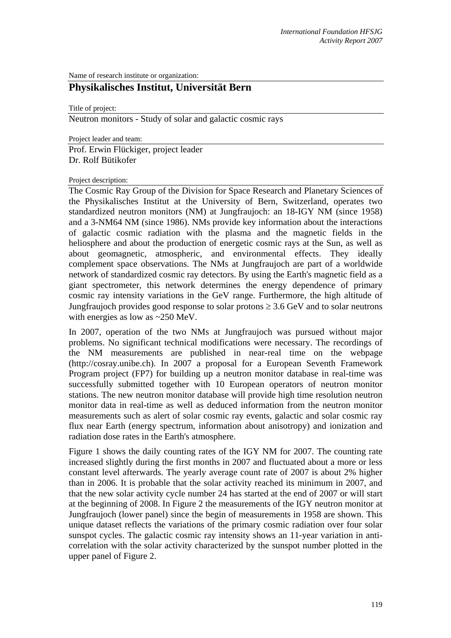Name of research institute or organization:

# **Physikalisches Institut, Universität Bern**

Title of project:

Neutron monitors - Study of solar and galactic cosmic rays

Project leader and team:

Prof. Erwin Flückiger, project leader Dr. Rolf Bütikofer

#### Project description:

The Cosmic Ray Group of the Division for Space Research and Planetary Sciences of the Physikalisches Institut at the University of Bern, Switzerland, operates two standardized neutron monitors (NM) at Jungfraujoch: an 18-IGY NM (since 1958) and a 3-NM64 NM (since 1986). NMs provide key information about the interactions of galactic cosmic radiation with the plasma and the magnetic fields in the heliosphere and about the production of energetic cosmic rays at the Sun, as well as about geomagnetic, atmospheric, and environmental effects. They ideally complement space observations. The NMs at Jungfraujoch are part of a worldwide network of standardized cosmic ray detectors. By using the Earth's magnetic field as a giant spectrometer, this network determines the energy dependence of primary cosmic ray intensity variations in the GeV range. Furthermore, the high altitude of Jungfraujoch provides good response to solar protons  $\geq 3.6$  GeV and to solar neutrons with energies as low as ~250 MeV.

In 2007, operation of the two NMs at Jungfraujoch was pursued without major problems. No significant technical modifications were necessary. The recordings of the NM measurements are published in near-real time on the webpage (http://cosray.unibe.ch). In 2007 a proposal for a European Seventh Framework Program project (FP7) for building up a neutron monitor database in real-time was successfully submitted together with 10 European operators of neutron monitor stations. The new neutron monitor database will provide high time resolution neutron monitor data in real-time as well as deduced information from the neutron monitor measurements such as alert of solar cosmic ray events, galactic and solar cosmic ray flux near Earth (energy spectrum, information about anisotropy) and ionization and radiation dose rates in the Earth's atmosphere.

Figure 1 shows the daily counting rates of the IGY NM for 2007. The counting rate increased slightly during the first months in 2007 and fluctuated about a more or less constant level afterwards. The yearly average count rate of 2007 is about 2% higher than in 2006. It is probable that the solar activity reached its minimum in 2007, and that the new solar activity cycle number 24 has started at the end of 2007 or will start at the beginning of 2008. In Figure 2 the measurements of the IGY neutron monitor at Jungfraujoch (lower panel) since the begin of measurements in 1958 are shown. This unique dataset reflects the variations of the primary cosmic radiation over four solar sunspot cycles. The galactic cosmic ray intensity shows an 11-year variation in anticorrelation with the solar activity characterized by the sunspot number plotted in the upper panel of Figure 2.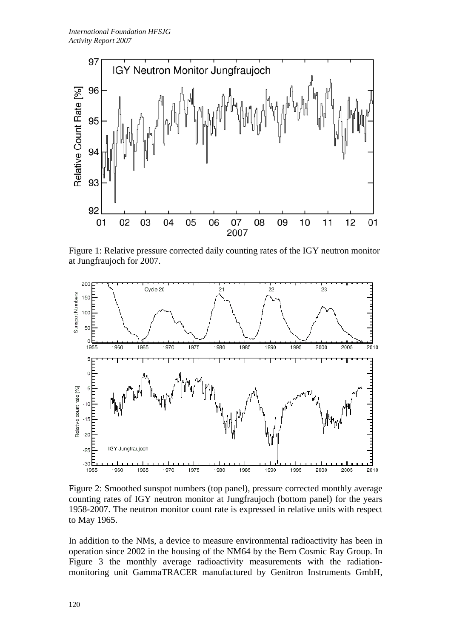

Figure 1: Relative pressure corrected daily counting rates of the IGY neutron monitor at Jungfraujoch for 2007.



Figure 2: Smoothed sunspot numbers (top panel), pressure corrected monthly average counting rates of IGY neutron monitor at Jungfraujoch (bottom panel) for the years 1958-2007. The neutron monitor count rate is expressed in relative units with respect to May 1965.

In addition to the NMs, a device to measure environmental radioactivity has been in operation since 2002 in the housing of the NM64 by the Bern Cosmic Ray Group. In Figure 3 the monthly average radioactivity measurements with the radiationmonitoring unit GammaTRACER manufactured by Genitron Instruments GmbH,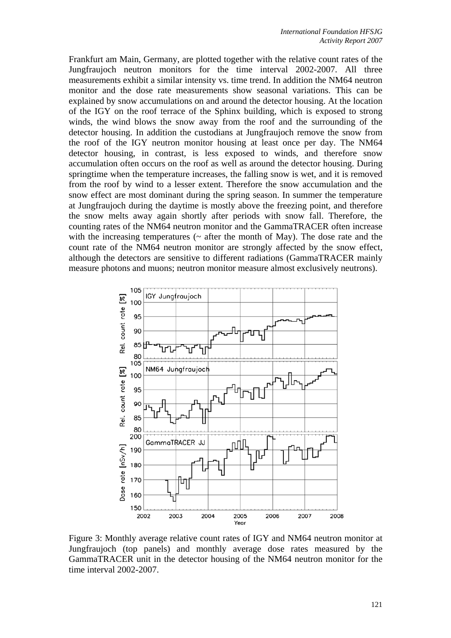Frankfurt am Main, Germany, are plotted together with the relative count rates of the Jungfraujoch neutron monitors for the time interval 2002-2007. All three measurements exhibit a similar intensity vs. time trend. In addition the NM64 neutron monitor and the dose rate measurements show seasonal variations. This can be explained by snow accumulations on and around the detector housing. At the location of the IGY on the roof terrace of the Sphinx building, which is exposed to strong winds, the wind blows the snow away from the roof and the surrounding of the detector housing. In addition the custodians at Jungfraujoch remove the snow from the roof of the IGY neutron monitor housing at least once per day. The NM64 detector housing, in contrast, is less exposed to winds, and therefore snow accumulation often occurs on the roof as well as around the detector housing. During springtime when the temperature increases, the falling snow is wet, and it is removed from the roof by wind to a lesser extent. Therefore the snow accumulation and the snow effect are most dominant during the spring season. In summer the temperature at Jungfraujoch during the daytime is mostly above the freezing point, and therefore the snow melts away again shortly after periods with snow fall. Therefore, the counting rates of the NM64 neutron monitor and the GammaTRACER often increase with the increasing temperatures ( $\sim$  after the month of May). The dose rate and the count rate of the NM64 neutron monitor are strongly affected by the snow effect, although the detectors are sensitive to different radiations (GammaTRACER mainly measure photons and muons; neutron monitor measure almost exclusively neutrons).



Figure 3: Monthly average relative count rates of IGY and NM64 neutron monitor at Jungfraujoch (top panels) and monthly average dose rates measured by the GammaTRACER unit in the detector housing of the NM64 neutron monitor for the time interval 2002-2007.